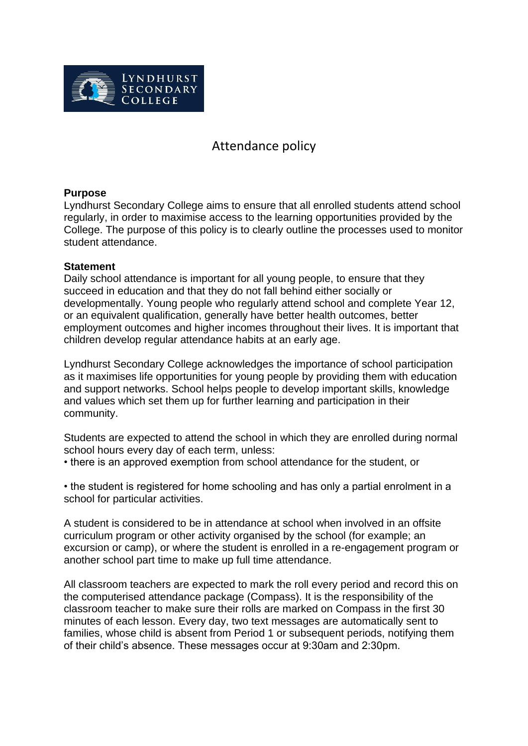

# Attendance policy

## **Purpose**

Lyndhurst Secondary College aims to ensure that all enrolled students attend school regularly, in order to maximise access to the learning opportunities provided by the College. The purpose of this policy is to clearly outline the processes used to monitor student attendance.

#### **Statement**

Daily school attendance is important for all young people, to ensure that they succeed in education and that they do not fall behind either socially or developmentally. Young people who regularly attend school and complete Year 12, or an equivalent qualification, generally have better health outcomes, better employment outcomes and higher incomes throughout their lives. It is important that children develop regular attendance habits at an early age.

Lyndhurst Secondary College acknowledges the importance of school participation as it maximises life opportunities for young people by providing them with education and support networks. School helps people to develop important skills, knowledge and values which set them up for further learning and participation in their community.

Students are expected to attend the school in which they are enrolled during normal school hours every day of each term, unless:

• there is an approved exemption from school attendance for the student, or

• the student is registered for home schooling and has only a partial enrolment in a school for particular activities.

A student is considered to be in attendance at school when involved in an offsite curriculum program or other activity organised by the school (for example; an excursion or camp), or where the student is enrolled in a re-engagement program or another school part time to make up full time attendance.

All classroom teachers are expected to mark the roll every period and record this on the computerised attendance package (Compass). It is the responsibility of the classroom teacher to make sure their rolls are marked on Compass in the first 30 minutes of each lesson. Every day, two text messages are automatically sent to families, whose child is absent from Period 1 or subsequent periods, notifying them of their child's absence. These messages occur at 9:30am and 2:30pm.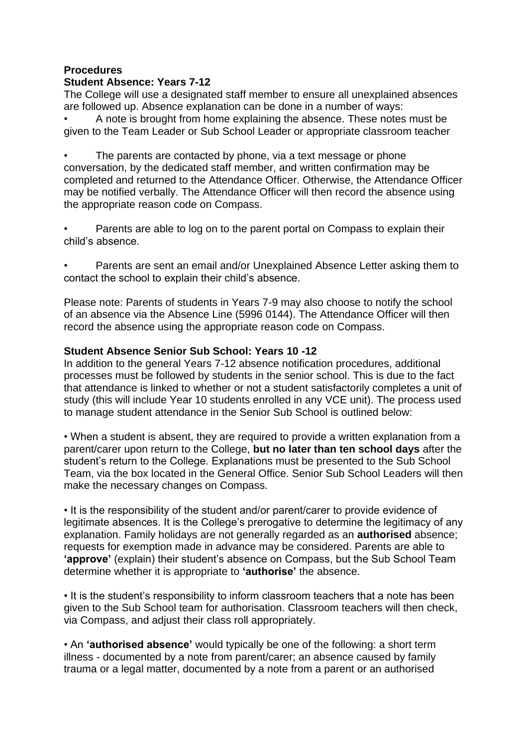# **Procedures**

## **Student Absence: Years 7-12**

The College will use a designated staff member to ensure all unexplained absences are followed up. Absence explanation can be done in a number of ways:

• A note is brought from home explaining the absence. These notes must be given to the Team Leader or Sub School Leader or appropriate classroom teacher

The parents are contacted by phone, via a text message or phone conversation, by the dedicated staff member, and written confirmation may be completed and returned to the Attendance Officer. Otherwise, the Attendance Officer may be notified verbally. The Attendance Officer will then record the absence using the appropriate reason code on Compass.

• Parents are able to log on to the parent portal on Compass to explain their child's absence.

• Parents are sent an email and/or Unexplained Absence Letter asking them to contact the school to explain their child's absence.

Please note: Parents of students in Years 7-9 may also choose to notify the school of an absence via the Absence Line (5996 0144). The Attendance Officer will then record the absence using the appropriate reason code on Compass.

#### **Student Absence Senior Sub School: Years 10 -12**

In addition to the general Years 7-12 absence notification procedures, additional processes must be followed by students in the senior school. This is due to the fact that attendance is linked to whether or not a student satisfactorily completes a unit of study (this will include Year 10 students enrolled in any VCE unit). The process used to manage student attendance in the Senior Sub School is outlined below:

• When a student is absent, they are required to provide a written explanation from a parent/carer upon return to the College, **but no later than ten school days** after the student's return to the College. Explanations must be presented to the Sub School Team, via the box located in the General Office. Senior Sub School Leaders will then make the necessary changes on Compass.

• It is the responsibility of the student and/or parent/carer to provide evidence of legitimate absences. It is the College's prerogative to determine the legitimacy of any explanation. Family holidays are not generally regarded as an **authorised** absence; requests for exemption made in advance may be considered. Parents are able to **'approve'** (explain) their student's absence on Compass, but the Sub School Team determine whether it is appropriate to **'authorise'** the absence.

• It is the student's responsibility to inform classroom teachers that a note has been given to the Sub School team for authorisation. Classroom teachers will then check, via Compass, and adjust their class roll appropriately.

• An **'authorised absence'** would typically be one of the following: a short term illness - documented by a note from parent/carer; an absence caused by family trauma or a legal matter, documented by a note from a parent or an authorised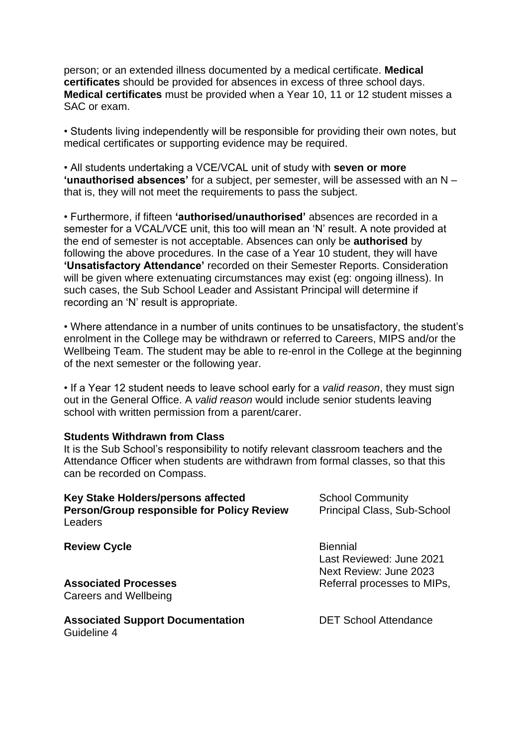person; or an extended illness documented by a medical certificate. **Medical certificates** should be provided for absences in excess of three school days. **Medical certificates** must be provided when a Year 10, 11 or 12 student misses a SAC or exam.

• Students living independently will be responsible for providing their own notes, but medical certificates or supporting evidence may be required.

• All students undertaking a VCE/VCAL unit of study with **seven or more 'unauthorised absences'** for a subject, per semester, will be assessed with an N – that is, they will not meet the requirements to pass the subject.

• Furthermore, if fifteen **'authorised/unauthorised'** absences are recorded in a semester for a VCAL/VCE unit, this too will mean an 'N' result. A note provided at the end of semester is not acceptable. Absences can only be **authorised** by following the above procedures. In the case of a Year 10 student, they will have **'Unsatisfactory Attendance'** recorded on their Semester Reports. Consideration will be given where extenuating circumstances may exist (eg: ongoing illness). In such cases, the Sub School Leader and Assistant Principal will determine if recording an 'N' result is appropriate.

• Where attendance in a number of units continues to be unsatisfactory, the student's enrolment in the College may be withdrawn or referred to Careers, MIPS and/or the Wellbeing Team. The student may be able to re-enrol in the College at the beginning of the next semester or the following year.

• If a Year 12 student needs to leave school early for a *valid reason*, they must sign out in the General Office. A *valid reason* would include senior students leaving school with written permission from a parent/carer.

#### **Students Withdrawn from Class**

Guideline 4

It is the Sub School's responsibility to notify relevant classroom teachers and the Attendance Officer when students are withdrawn from formal classes, so that this can be recorded on Compass.

| Key Stake Holders/persons affected<br>Person/Group responsible for Policy Review<br>Leaders | <b>School Community</b><br>Principal Class, Sub-School                                               |
|---------------------------------------------------------------------------------------------|------------------------------------------------------------------------------------------------------|
| <b>Review Cycle</b><br><b>Associated Processes</b><br>Careers and Wellbeing                 | <b>Biennial</b><br>Last Reviewed: June 2021<br>Next Review: June 2023<br>Referral processes to MIPs, |
| <b>Associated Support Documentation</b>                                                     | <b>DET School Attendance</b>                                                                         |